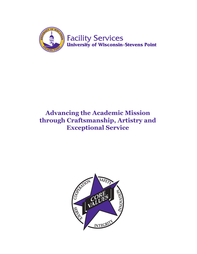

## **Advancing the Academic Mission through Craftsmanship, Artistry and Exceptional Service**

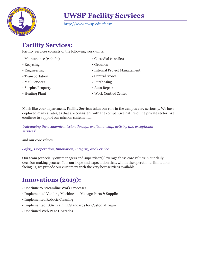

http://www.uwsp.edu/facsv

## **Facility Services:**

Facility Services consists of the following work units:

- Maintenance (2 shifts)
- Recycling
- Engineering
- Transportation
- Mail Services
- Surplus Property
- Heating Plant
- Custodial (2 shifts)
- Grounds
- Internal Project Management
- Central Stores
- Purchasing
- Auto Repair
- Work Control Center

Much like your department, Facility Services takes our role in the campus very seriously. We have deployed many strategies that are consistent with the competitive nature of the private sector. We continue to support our mission statement…

#### *"Advancing the academic mission through craftsmanship, artistry and exceptional services".*

and our core values…

#### *Safety, Cooperation, Innovation, Integrity and Service.*

Our team (especially our managers and supervisors) leverage these core values in our daily decision making process. It is our hope and expectation that, within the operational limitations facing us, we provide our customers with the very best services available.

## **Innovations (2019):**

- Continue to Streamline Work Processes
- Implemented Vending Machines to Manage Parts & Supplies
- Implemented Robotic Cleaning
- Implemented ISSA Training Standards for Custodial Team
- Continued Web Page Upgrades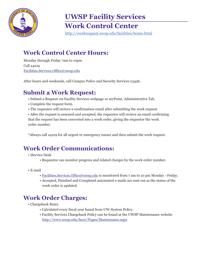

# **UWSP Facility Services Work Control Center**

http://workrequest.uwsp.edu/facilities/home.html

## **Work Control Center Hours:**

Monday through Friday 7am to 10pm Call x4219 Facilities.Services.Office@uwsp.edu

After hours and weekends, call Campus Police and Security Services x3456.

## **Submit a Work Request:**

- Submit a Request via Facility Services webpage or myPoint, Administrative Tab.
- Complete the request form.
- The requestor will recieve a confirmation email after submitting the work request.

• After the request is assessed and accepted, the requestor will recieve an email confirming that the request has been converted into a work order, giving the requestor the work order number.

\*Always call x4219 for all urgent or emergency isuues and then submit the work request.

## **Work Order Communications:**

- iService Desk
	- Requestor can monitor progress and related charges by the work order number.
- E-mail
	- Facilities.Services.Office@uwsp.edu is monitored from 7 am to 10 pm Monday Friday.
	- Accepted, Finished and Completed automated e-mails are sent out as the status of the work order is updated.

## **Work Order Charges:**

- Chargeback Rates
	- Calculated every fiscal year based from UW-System Policy.
	- Facility Services Chargeback Policy can be found at the UWSP Maintenance website http://www.uwsp.edu/facsv/Pages/Maintenance.aspx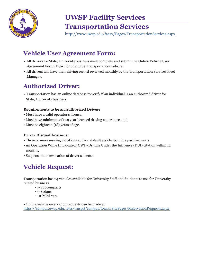

## **UWSP Facility Services Transportation Services**

http://www.uwsp.edu/facsv/Pages/TransportationServices.aspx

## **Vehicle User Agreement Form:**

- All drivers for State/University business must complete and submit the Online Vehicle User Agreement Form (VUA) found on the Transportation website.
- All drivers will have their driving record reviewed monthly by the Transportation Services Fleet Manager.

## **Authorized Driver:**

• Transportation has an online database to verify if an individual is an authorized driver for State/University business.

#### **Requirements to be an Authorized Driver:**

- Must have a valid operator's license,
- Must have minimum of two year licensed driving experience, and
- Must be eighteen (18) years of age.

#### **Driver Disqualifications:**

- Three or more moving violations and/or at-fault accidents in the past two years.
- An Operation While Intoxicated (OWI)/Driving Under the Influence (DUI) citation within 12 months.
- Suspension or revocation of driver's license.

## **Vehicle Request:**

Transportation has 24 vehicles available for University Staff and Students to use for University related business.

- 7-Subcompacts
- 7-Sedans
- 10-Mini-vans

• Online vehicle reservation requests can be made at https://campus.uwsp.edu/sites/trnsprt/campus/forms/SitePages/ReservationRequests.aspx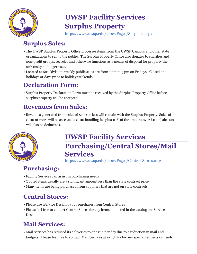

## **UWSP Facility Services Surplus Property**

https://www.uwsp.edu/facsv/Pages/Surplus2.aspx

## **Surplus Sales:**

- The UWSP Surplus Property Office processes items from the UWSP Campus and other state organizations to sell to the public. The Surplus Property Office also donates to charities and non-profit groups, recycles and otherwise functions as a means of disposal for property the university no longer uses.
- Located at 601 Division, weekly public sales are from 1 pm to 5 pm on Fridays. Closed on holidays or days prior to holiday weekends.

## **Declaration Form:**

• Surplus Property Declaration Form must be received by the Surplus Property Office before surplus property will be accepted.

## **Revenues from Sales:**

• Revenues generated from sales of \$100 or less will remain with the Surplus Property. Sales of \$100 or more will be assessed a \$100 handling fee plus 10% of the amount over \$100 (sales tax will also be deducted).



# **UWSP Facility Services Purchasing/Central Stores/Mail Services**

https://www.uwsp.edu/facsv/Pages/Central-Stores.aspx

## **Purchasing:**

- Facility Services can assist in purchasing needs
- Quoted items usually are a significant amount less than the state contract price
- Many items are being purchased from suppliers that are not on state contracts

## **Central Stores:**

- Please use iService Desk for your purchases from Central Stores
- Please feel free to contact Central Stores for any items not listed in the catalog on iService Desk.

## **Mail Services:**

• Mail Services has reduced its deliveries to one run per day due to a reduction in mail and budgets. Please feel free to contact Mail Services at ext. 3102 for any special requests or needs.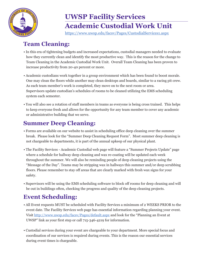

# **UWSP Facility Services Academic Custodial Work Unit**

https://www.uwsp.edu/facsv/Pages/CustodialServices1.aspx

## **Team Cleaning:**

- In this era of tightening budgets and increased expectations, custodial managers needed to evaluate how they currently clean and identify the most productive way. This is the reason for the change to Team Cleaning in the Academic Custodial Work Unit. Overall Team Cleaning has been proven to increase productivity from 20-40 percent or more.
- Academic custodians work together in a group environment which has been found to boost morale. One may clean the floors while another may clean desktops and boards, similar to a racing pit crew. As each team member's work is completed, they move on to the next room or area. Supervisors update custodian's schedules of rooms to be cleaned utilizing the EMS scheduling system each semester.
- You will also see a rotation of staff members in teams as everyone is being cross trained. This helps to keep everyone fresh and allows for the opportunity for any team member to cover any academic or administrative building that we serve.

## **Summer Deep Cleaning:**

- Forms are available on our website to assist in scheduling office deep cleaning over the summer break. Please look for the "Summer Deep Cleaning Request Form". Most summer deep cleaning is not chargeable to departments, it is part of the annual upkeep of our physical plant.
- The Facility Services Academic Custodial web page will feature a "Summer Projects Update" page where a schedule for hallway deep cleaning and wax re-coating will be updated each week throughout the summer. We will also be reminding people of deep cleaning projects using the "Message of the Day". Teams may be stripping wax in hallways this summer and/or deep scrubbing floors. Please remember to stay off areas that are clearly marked with fresh wax signs for your safety.
- Supervisors will be using the EMS scheduling software to block off rooms for deep cleaning and will be out in buildings often, checking the progress and quality of the deep cleaning projects.

## **Event Scheduling:**

- All Event requests MUST be scheduled with Facility Services a minimum of 2 WEEKS PRIOR to the event date. The Facility Services web page has essential information regarding planning your event. Visit http://www.uwsp.edu/facsv/Pages/default.aspx and look for the "Planning an Event at UWSP" link as your first step or call 715-346-4219 for information.
- Custodial services during your event are chargeable to your department. More special focus and coordination of our services is required during events. This is the reason our essential services during event times is chargeable.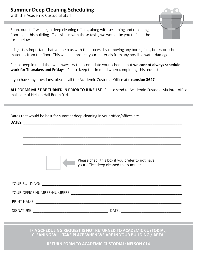#### **Summer Deep Cleaning Scheduling**

with the Academic Custodial Staff

Soon, our staff will begin deep cleaning offices, along with scrubbing and recoating flooring in this building. To assist us with these tasks, we would like you to fill in the form below.

It is just as important that you help us with the process by removing any boxes, files, books or other materials from the floor. This will help protect your materials from any possible water damage.

Please keep in mind that we always try to accomodate your schedule but **we cannot always schedule work for Thursdays and Fridays**.Please keep this in mind when completing this request.

If you have any questions, please call the Academic Custodial Office at **extension 3647**.

**ALL FORMS MUST BE TURNED IN PRIOR TO JUNE 1ST.** Please send to Academic Custodial via inter-office mail care of Nelson Hall Room 014.

 **\_\_\_\_\_\_\_\_\_\_\_\_\_\_\_\_\_\_\_\_\_\_\_\_\_\_\_\_\_\_\_\_\_\_\_\_\_\_\_\_\_\_\_\_\_\_\_\_\_\_\_\_\_\_\_\_\_\_\_\_\_\_\_\_\_\_\_\_\_\_\_\_\_\_\_\_**

 **\_\_\_\_\_\_\_\_\_\_\_\_\_\_\_\_\_\_\_\_\_\_\_\_\_\_\_\_\_\_\_\_\_\_\_\_\_\_\_\_\_\_\_\_\_\_\_\_\_\_\_\_\_\_\_\_\_\_\_\_\_\_\_\_\_\_\_\_\_\_\_\_\_\_\_\_**

 **\_\_\_\_\_\_\_\_\_\_\_\_\_\_\_\_\_\_\_\_\_\_\_\_\_\_\_\_\_\_\_\_\_\_\_\_\_\_\_\_\_\_\_\_\_\_\_\_\_\_\_\_\_\_\_\_\_\_\_\_\_\_\_\_\_\_\_\_\_\_\_\_\_\_\_\_**

Dates that would be best for summer deep cleaning in your office/offices are...

**DATES: \_\_\_\_\_\_\_\_\_\_\_\_\_\_\_\_\_\_\_\_\_\_\_\_\_\_\_\_\_\_\_\_\_\_\_\_\_\_\_\_\_\_\_\_\_\_\_\_\_\_\_\_\_\_\_\_\_\_\_\_\_\_\_\_\_\_\_\_\_\_\_\_\_\_\_\_**



Please check this box if you prefer to not have your office deep cleaned this summer.

YOUR BUILDING: **\_\_\_\_\_\_\_\_\_\_\_\_\_\_\_\_\_\_\_\_\_\_\_\_\_\_\_\_\_\_\_\_\_\_\_\_\_\_\_\_\_\_\_\_\_\_\_\_\_\_\_\_\_\_\_\_\_\_\_\_\_\_\_\_\_\_\_** YOUR OFFICE NUMBER/NUMBERS: **\_\_\_\_\_\_\_\_\_\_\_\_\_\_\_\_\_\_\_\_\_\_\_\_\_\_\_\_\_\_\_\_\_\_\_\_\_\_\_\_\_\_\_\_\_\_\_\_\_\_\_\_\_** PRINT NAME: SIGNATURE: **\_\_\_\_\_\_\_\_\_\_\_\_\_\_\_\_\_\_\_\_\_\_\_\_\_\_\_\_\_\_\_\_\_\_\_\_** DATE: **\_\_\_\_\_\_\_\_\_\_\_\_\_\_\_\_\_\_\_\_\_\_\_\_\_\_\_\_\_**

> **IF A SCHEDULING REQUEST IS NOT RETURNED TO ACADEMIC CUSTODIAL, CLEANING WILL TAKE PLACE WHEN WE ARE IN YOUR BUILDING / AREA.**

> > **RETURN FORM TO ACADEMIC CUSTODIAL: NELSON 014**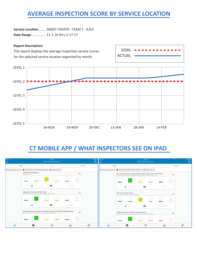## **AVERAGE INSPECTION SCORE BY SERVICE LOCATION**

**Service Location**........ DEBOT CENTER - TEAM 7 - A,B,C **Date Range**................ 11-1-16 thru 2-17-17

#### **Report Description:**



## **CT MOBILE APP / WHAT INSPECTORS SEE ON IPAD**

| iPad =        |                                                                                                | 9:22 AM<br>DEBOT CENTER-TM 25-AB                                           |                  | 1.33842<br>昌 | iPad =                                                          |                                                                        |                                               | 9:22 AM<br>DEBOT CENTER-TM 25-AB                                                                                                                  |                 |                       | 4.338427<br>昌 |
|---------------|------------------------------------------------------------------------------------------------|----------------------------------------------------------------------------|------------------|--------------|-----------------------------------------------------------------|------------------------------------------------------------------------|-----------------------------------------------|---------------------------------------------------------------------------------------------------------------------------------------------------|-----------------|-----------------------|---------------|
| MARK          |                                                                                                |                                                                            |                  | FILTER       | MARK                                                            |                                                                        |                                               |                                                                                                                                                   |                 | FILTER                |               |
|               | ♥ 0042-Lower Level X ● 0042-M0021 RESTROOM-MENS X ● Restrooms X                                |                                                                            |                  |              | V 0042-Lower Level X → 0042-M0021 RESTROOM-MENS X → Restrooms X |                                                                        |                                               |                                                                                                                                                   |                 |                       |               |
|               | Clean Glass and Mirrors<br>Wipe Clean                                                          |                                                                            |                  | $\mathbf{d}$ |                                                                 |                                                                        |                                               | Horizontal Surfaces including Desks, Tables, and Counters: Wipe Clean<br>Dust and dean horizontal surfaces including Desks, Tables, and Counters. |                 | $\ln$                 |               |
|               |                                                                                                |                                                                            | NA:              |              |                                                                 |                                                                        |                                               |                                                                                                                                                   |                 | NA                    |               |
|               | Z                                                                                              | o                                                                          | <b>O</b> Details |              |                                                                 | $\overline{z}$                                                         |                                               | (O)                                                                                                                                               | d Details.      |                       |               |
|               | Dispensers: Restock and Wipe Clean<br>Restock product in dispensers and wipe dispensers clean. |                                                                            |                  |              |                                                                 | Sinks and Faucets: Clean<br>Clean off and disinfect sinks and faucets. |                                               |                                                                                                                                                   |                 | $\mathbf{h}$          |               |
|               |                                                                                                |                                                                            | NA.              |              |                                                                 |                                                                        |                                               |                                                                                                                                                   |                 | NA                    |               |
|               | Z                                                                                              | (O)                                                                        | 0 Details        |              |                                                                 | $\mathbb Z$                                                            |                                               | i©i                                                                                                                                               | O Details       |                       |               |
|               | Dust and clean off ceiling tiles, vents, lights and baseboards.                                | Dust High and Low Surfaces including Ceiling, Vents, Lights and Baseboards |                  | .ht          |                                                                 |                                                                        | Toilets and Urinals: Disinfect and Wipe Clean | Follow proper procedures to disinfect and clean toilets and unnals.                                                                               |                 | <b>J</b> <sub>H</sub> |               |
|               |                                                                                                |                                                                            | $N\Lambda$       |              |                                                                 |                                                                        |                                               |                                                                                                                                                   |                 | NA<br>$\sim$          |               |
| <b>SHACES</b> | <b>Usenking</b>                                                                                | Z<br>Notes                                                                 | .ht<br>Summer's  | Sign City    | <b>SHARE</b>                                                    | <b>Uventuin</b>                                                        |                                               | Z<br><b>Notes</b>                                                                                                                                 | alıt<br>Sunner) |                       | Sign City     |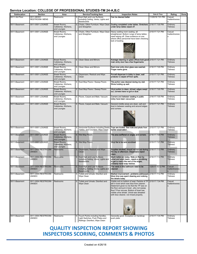#### **Service Location: COLLEGE OF PROFESSIONAL STUDIES-TM 24-A,B,C**

| Sublocation    | Section                              | Area                                                 |   | Service/Tracking Item                                                                                 | <b>Inspection Notes</b>                                                                                                                                                                                                                                                                                             | Date & Time      | Rating                        | Done |
|----------------|--------------------------------------|------------------------------------------------------|---|-------------------------------------------------------------------------------------------------------|---------------------------------------------------------------------------------------------------------------------------------------------------------------------------------------------------------------------------------------------------------------------------------------------------------------------|------------------|-------------------------------|------|
| 0011-3rd Floor | 0011-M0301<br><b>RESTROOM- MENS</b>  | Restrooms                                            |   | S   Dust High and Low Surfaces<br>including Ceiling, Vents, Lights and<br>Baseboards                  | Can be cleaned better                                                                                                                                                                                                                                                                                               | 11/29/16 7:51 PM | Casual<br>Inattentivenes<br>Ś |      |
| 0011-Basement  | 0011-0001 LOUNGE                     | Break Rooms,<br>Cafeterias, Kitchens,<br>and Lounges |   | Chairs, Other Furniture: Wipe Clean<br>and Straighten                                                 | Dusting completed under tables. Stretchers<br>under lamp tables wiped off.                                                                                                                                                                                                                                          | 2/16/17 7:00 PM  | Ordinary<br><b>Tidiness</b>   |      |
| 0011-Basement  | 0011-0001 LOUNGE                     | Break Rooms,<br>Cafeterias, Kitchens,<br>and Lounges | S | Chairs, Other Furniture: Wipe Clean<br>and Straighten                                                 | Heavy waiting room seating, all<br>straightened. Bottom rungs of lamp tables<br>need wiping off. Clear evidence on one<br>where office personnel have been checking<br>lack of dusting.                                                                                                                             | 2/15/17 7:21 PM  | Casual<br>Inattentivenes<br>Ś |      |
| 0011-Basement  | 0011-0001 LOUNGE                     | Break Rooms,<br>Cafeterias, Kitchens,<br>and Lounges |   | <b>Clean Glass and Mirrors</b>                                                                        | Average cleaning on glass offices look good 2/15/17 7:21 PM<br>main entry door has a few fingermarks                                                                                                                                                                                                                |                  | Ordinary<br><b>Tidiness</b>   |      |
| 0011-Basement  | 0011-0001 LOUNGE                     | Break Rooms,<br>Cafeterias, Kitchens,<br>and Lounges |   | S Clean Glass and Mirrors                                                                             | East inner entry door glass was washed.<br>Finger marks gone.                                                                                                                                                                                                                                                       | 2/16/17 7:00 PM  | Ordinary<br><b>Tidiness</b>   |      |
| 0011-Basement  | 0011-0001 LOUNGE                     | Break Rooms,<br>Cafeterias, Kitchens,<br>and Lounges |   | Dispensers: Restock and Wipe<br>Clean                                                                 | Purcell dispenser in lobby is clean, wall<br>protector is wiped off from spills.                                                                                                                                                                                                                                    | 2/15/17 7:21 PM  | Ordinary<br><b>Tidiness</b>   |      |
| 0011-Basement  | 0011-0001 LOUNGE                     | Break Rooms,<br>Cafeterias, Kitchens,<br>and Lounges | S | Dust Mop Floors / Sweep Floors                                                                        | Tile portion was cleaned during my visit.<br>Shine holding up well.                                                                                                                                                                                                                                                 | 2/15/17 7:21 PM  | Ordinary<br><b>Tidiness</b>   |      |
| 0011-Basement  | 0011-0001 LOUNGE                     | Break Rooms,<br>Cafeterias, Kitchens.<br>and Lounges |   | S   Dust Mop Floors / Sweep Floors                                                                    | Vinyl portion is clean, shined, edges swept<br>out, corners have no grit or dust.                                                                                                                                                                                                                                   | 2/16/17 7:00 PM  | Ordinary<br><b>Tidiness</b>   |      |
| 0011-Basement  | 0011-0001 LOUNGE                     | Break Rooms,<br>Cafeterias, Kitchens,<br>and Lounges |   | S Floors, Carpet and Mats: Vacuum                                                                     | Corners and between seating in public<br>lobby have been vacuumed.                                                                                                                                                                                                                                                  | 2/16/17 7:00 PM  | Ordinary<br><b>Tidiness</b>   |      |
| 0011-Basement  | 0011-0001 LOUNGE                     | Break Rooms,<br>Cafeterias, Kitchens,<br>and Lounges |   | Floors, Carpet and Mats: Vacuum                                                                       | General middle areas are clean, salt and<br>dust in between seating and around edges<br>and corners.                                                                                                                                                                                                                | 2/15/17 7:21 PM  | Ordinary<br><b>Tidiness</b>   |      |
| 0011-Basement  | 0011-0001 LOUNGE                     | Break Rooms,<br>Cafeterias, Kitchens,<br>and Lounges |   | Horizontal Surfaces including Desks<br>Tables, and Counters: Wipe Clean                               | Tops are dusted. See note and photo from<br>earlier observation.                                                                                                                                                                                                                                                    | 2/15/17 7:21 PM  | Ordinary<br><b>Tidiness</b>   |      |
| 0011-Basement  | 0011-0001 LOUNGE                     | Break Rooms,<br>Cafeterias, Kitchens,<br>and Lounges |   | S   Wet Mop Floors                                                                                    | Tile area swiffered on edges and corners.                                                                                                                                                                                                                                                                           | 2/16/17 7:00 PM  | Ordinary<br><b>Tidiness</b>   |      |
| 0011-Basement  | 0011-0001 LOUNGE                     | Break Rooms,<br>Cafeterias, Kitchens,<br>and Lounges |   | S Wet Mop Floors                                                                                      | Vinyl tile to be auto scrubbed.                                                                                                                                                                                                                                                                                     | 2/15/17 7:21 PM  | Ordinary<br><b>Tidiness</b>   |      |
| 0011-Basement  | 0011-0004 RESTROOM-<br><b>UNISEX</b> | <b>Restrooms</b>                                     |   | Dispensers: Restock and Wipe<br>Clean                                                                 | Supplies stocked, should not run out during<br>the day or afternoon. Dispensers wiped<br>clean.                                                                                                                                                                                                                     | 2/16/17 7:12 PM  | Ordinary<br><b>Tidiness</b>   |      |
| 0011-Basement  | 0011-0004 RESTROOM-<br><b>UNISEX</b> | Restrooms                                            |   | Dust High and Low Surfaces<br>including Ceiling, Vents, Lights and<br><b>Baseboards</b>               | Much better job today. Note on floor by<br>urinal and wash basinneeds a scrubbing<br>to get to match the rest of the edges,<br>probably hand soap residue.                                                                                                                                                          | 2/16/17 7:12 PM  | Ordinary<br><b>Tidiness</b>   |      |
| 0011-Basement  | 0011-0004 RESTROOM-<br><b>UNISEX</b> | Restrooms                                            | S | Dust High and Low Surfaces<br>including Ceiling, Vents, Lights and<br><b>Baseboards</b>               | The vents in this bathroom need to be<br>cleaned                                                                                                                                                                                                                                                                    | 1/25/17 10:12 PM | Casual<br>Inattentivenes      |      |
| 0011-Basement  | 0011-0004 RESTROOM-<br>UNISEX        | Restrooms                                            | S | Toilets and Urinals: Disinfect and<br>Wipe Clean                                                      | Marked improvementproblems addressed.<br>More time was spent cleaning and noticing<br>the details today.                                                                                                                                                                                                            | 2/16/17 7:12 PM  | Ordinary<br><b>Tidiness</b>   |      |
| 0011-Basement  | 0011-0004 RESTROOM-<br><b>UNISEX</b> | Restrooms                                            |   | Toilets and Urinals: Disinfect and<br>Wipe Clean                                                      | Visible soil on bottom of seat. Particle of TP<br>left in bowl which was blue from cleaner.<br>Statement given to me that the TP was on<br>the floor and put in bowlwhy not sweep<br>floor? Poor excuse. Bottom of bowl has<br>visible urine streak. Urinal was streaked<br>with blue cleaner, not rinsed properly. | 2/15/17 7:34 PM  | Casual<br>Inattentivenes<br>S |      |
| 0011-Basement  | 0011-0004 RESTROOM-<br>UNISEX        | Restrooms                                            | S | Touch Points including Handles,<br>Light Switches, Push Plates and<br>Railings: Disinfect, Wipe Clean | Generally good. Exception on handicap<br>push plate.                                                                                                                                                                                                                                                                | 2/15/17 7:34 PM  | Ordinary<br>Tidiness          |      |

### **QUALITY INSPECTION REPORT SHOWING INSPECTORS SCORING, COMMENTS & PHOTOS**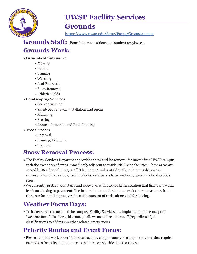

## **Grounds**

https://www.uwsp.edu/facsv/Pages/Grounds1.aspx

Grounds Staff: Four full time positions and student employees.

## **Grounds Work:**

#### **• Grounds Maintenance**

- Mowing
- Edging
- Pruning
- Weeding
- Leaf Removal
- Snow Removal
- Athletic Fields
- **Landscaping Services**
	- Sod replacement
	- Shrub bed renewal, installation and repair
	- Mulching
	- Seeding
	- Annual, Perennial and Bulb Planting
- **Tree Services**
	- Removal
	- Pruning/Trimming
	- Planting

## **Snow Removal Process:**

- **•** The Facility Services Department provides snow and ice removal for most of the UWSP campus, with the exception of areas immediately adjacent to residential living facilities. These areas are served by Residential Living staff. There are 12 miles of sidewalk, numerous driveways, numerous handicap ramps, loading docks, service roads, as well as 27 parking lots of various sizes.
- We currently pretreat our stairs and sidewalks with a liquid brine solution that limits snow and ice from sticking to pavement. The brine solution makes it much easier to remove snow from these surfaces and it greatly reduces the amount of rock salt needed for deicing.

## **Weather Focus Days:**

**•** To better serve the needs of the campus, Facility Services has implemented the concept of "weather focus". In short, this concept allows us to direct our staff (regardless of job classification) to address weather related emergencies.

## **Priority Routes and Event Focus:**

**•** Please submit a work order if there are events, campus tours, or campus activities that require grounds to focus its maintenance to that area on specific dates or times.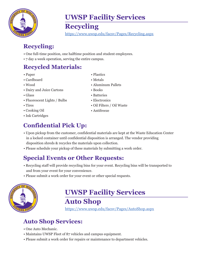

## **Recycling**

https://www.uwsp.edu/facsv/Pages/Recycling.aspx

## **Recycling:**

- One full-time position, one halftime position and student employees.
- 7 day a week operation, serving the entire campus.

## **Recycled Materials:**

- Paper
- Cardboard
- Wood
- Dairy and Juice Cartons
- Glass
- Fluorescent Lights / Bulbs
- Tires
- Cooking Oil
- Ink Cartridges

## **Confidential Pick Up:**

- Upon pickup from the customer, confidential materials are kept at the Waste Education Center in a locked container until confidential disposition is arranged. The vendor providing disposition shreds & recycles the materials upon collection.
- Please schedule your pickup of these materials by submitting a work order.

## **Special Events or Other Requests:**

- Recycling staff will provide recycling bins for your event. Recycling bins will be transported to and from your event for your convenience.
- Please submit a work order for your event or other special requests.



# **UWSP Facility Services**

**Auto Shop**

https://www.uwsp.edu/facsv/Pages/AutoShop.aspx

## **Auto Shop Services:**

- One Auto Mechanic.
- Maintains UWSP Fleet of 87 vehicles and campus equipment.
- Please submit a work order for repairs or maintenance to department vehicles.
- Plastics
- Metals
- Aluminum Pallets
- Books
- Batteries
- Electronics
- Oil Filters / Oil Waste
- Antifreeze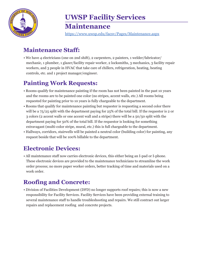

https://www.uwsp.edu/facsv/Pages/Maintenance.aspx

## **Maintenance Staff:**

• We have 4 electricians (one on 2nd shift), 2 carpenters, 2 painters, 1 welder/fabricator/ mechanic, 1 plumber, 1 glazer/facility repair worker, 2 locksmiths, 3 mechanics, 3 facility repair workers, and 3 people in HVAC that take care of chillers, refrigeration, heating, heating controls, etc. and 1 project manager/engineer.

## **Painting Work Requests:**

- Rooms qualify for maintenance painting if the room has not been painted in the past 10 years and the rooms are to be painted one color (no stripes, accent walls, etc.) All rooms being requested for painting prior to 10 years is fully chargeable to the department.
- Rooms that qualify for maintenance painting but requester is requesting a second color there will be a 75/25 split with the department paying for 25% of the total bill. If the requestor is 2 or 3 colors (2 accent walls or one accent wall and a stripe) there will be a 50/50 split with the department paying for 50% of the total bill. If the requestor is looking for something extravagant (multi-color stripe, mural, etc.) this is full chargeable to the department.
- Hallways, corridors, stairwells will be painted a neutral color (building color) for painting, any request beside that will be 100% billable to the department.

## **Electronic Devices:**

• All maintenance staff now carries electronic devices, this either being an I-pad or I-phone. These electronic devices are provided to the maintenance technicians to streamline the work order process; no more paper worker orders, better tracking of time and materials used on a work order.

## **Roofing and Concrete:**

• Division of Facilities Development (DFD) no longer supports roof repairs; this is now a new responsibility for Facility Services. Facility Services have been providing external training to several maintenance staff to handle troubleshooting and repairs. We still contract out larger repairs and replacement roofing and concrete projects.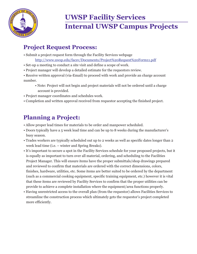

# **UWSP Facility Services Internal UWSP Campus Projects**

## **Project Request Process:**

- Submit a project request form through the Facility Services webpage http://www.uwsp.edu/facsv/Documents/Project%20Request%20Form11.pdf
- Set-up a meeting to conduct a site visit and define a scope of work.
- Project manager will develop a detailed estimate for the requestors review.
- Receive written approval (via-Email) to proceed with work and provide an charge account number.
	- Note: Project will not begin and project materials will not be ordered until a charge account is provided.
- Project manager coordinates and schedules work.
- Completion and written approval received from requestor accepting the finished project.

## **Planning a Project:**

- Allow proper lead times for materials to be order and manpower scheduled.
- Doors typically have a 5 week lead time and can be up to 8 weeks during the manufacturer's busy season.
- Trades workers are typically scheduled out up to 2 weeks as well as specific dates longer than 2 week lead time (i.e. – winter and Spring Breaks).
- It's important to secure a spot in the Facility Services schedule for your proposed projects, but it is equally as important to turn over all material, ordering, and scheduling to the Facilities Project Manager. This will ensure items have the proper submittals/shop drawings prepared and reviewed to confirm that materials are ordered with the correct dimensions, colors, finishes, hardware, utilities, etc. Some items are better suited to be ordered by the department (such as a commercial cooking equipment, specific training equipment, etc.) however it is vital that these items are reviewed by Facility Services to confirm that the proper utilities can be provide to achieve a complete installation where the equipment/area functions properly.
- Having unrestricted access to the overall plan (from the requestor) allows Facilities Services to streamline the construction process which ultimately gets the requestor's project completed more efficiently.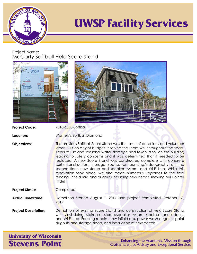

#### Project Name: McCarty Softball Field Score Stand



| <b>Project Code:</b> | 2018-6300-Softball                                                                                                                              |
|----------------------|-------------------------------------------------------------------------------------------------------------------------------------------------|
| Location:            | Women's Softball Diamond                                                                                                                        |
| <b>Objectives:</b>   | The previous Softball Score Stand<br>labor. Built on a tight budget, it se<br>Years of use and seasonal water<br>leading to safety concerns and |

2018-6300-Softball

was the result of donations and volunteer erved the Team well throughout the years. damage had taken its toll on the building it was determined that it needed to be replaced. A new Score Stand was constructed complete with concrete curb construction, storage space, announcing/videography on the second floor, new stereo and speaker system, and Wi-Fi hub. While this renovation took place, we also made numerous upgrades to the field fencing, infield mix, and dugouts including new decals showing our Pointer Pride!

**Project Status:** Completed.

**Actual Timeframe:** Demolition Started August 1, 2017 and project completed October 16, 2017

**Project Description:** Demolition of existing Score Stand and construction of new Score Stand with vinyl siding, staircase, stereo/speaker system, steel entrance doors, and Wi-Fi hub. Fencing repairs, new infield mix, power wash dugouts, paint dugouts and storage doors, and installation of new decals.

**University of Wisconsin Stevens Point** 

Enhancing the Academic Mission through Craftsmanship, Artistry and Exceptional Service.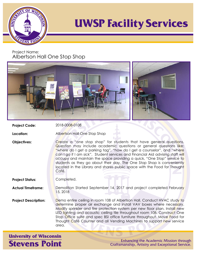

Project Name: Albertson Hall One Stop Shop



**Project Code:**

2018-0008-0108

**Location:**

Albertson Hall One Stop Shop

**Objectives:** Create a "one stop shop" for students that have general questions. Question may include academic questions or general questions like: "where do I get a parking tag", "how do I get a counselor", and "where can I go if I am sick". Student services and Financial Aid advising staff will occupy and maintain the space providing a quick, "One Stop" service to students as they go about their day. The One Stop Shop is conveniently located in the Library and shares public space with the Food for Thought Café.

**Project Status:**

Completed.

**Actual Timeframe:** Demolition Started September 14, 2017 and project completed February 15, 2018

**Project Description:** Demo entire ceiling in room 108 of Albertson Hall. Conduct HVAC study to determine proper air exchange and install VAV boxes where necessary. Modify sprinkler and fire protection system per new floor plan. Install new LED lighting and acoustic ceiling tile throughout room 108. Construct One Stop Office suite and spec BSI office furniture throughout. Move Food for Thought Café Counter and all Vending Machines to support new service area.

**University of Wisconsin Stevens Point** 

Enhancing the Academic Mission through Craftsmanship, Artistry and Exceptional Service.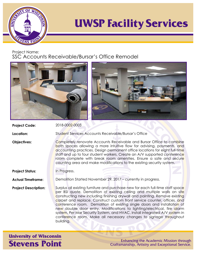

Project Name:

SSC Accounts Receivable/Bursar's Office Remodel



**Location:**

Student Services Accounts Receivable/Bursar's Office

Completely renovate Accounts Receivable and Bursar Office to combine both spaces allowing a more intuitive flow for advising, payments, and accounting practices. Design permanent office locations for eight full-time staff and up to four student workers. Create an A/V supported conference room complete with break room amenities. Ensure a safe and secure counting area and make modifications to the existing security system.

**Objectives:**

**Project Status:**

In Progress.

**Actual Timeframe:** Demolition Started November 29, 2017 – currently in progress.

**Project Description:** Surplus all existing furniture and purchase new for each full-time staff space per BSI quote. Demolition of existing ceiling and multiple walls on site constructing new including finishing drywall and painting. Remove existing carpet and replace. Construct custom front service counter, offices, and conference room. Demolition of existing single doors and installation of new double door entry. Modifications to lighting/electrical, fire alarm system, Per Mar Security System, and HVAC. Install integrated A/V system in conference room. Make all necessary changes to signage throughout building.

**University of Wisconsin Stevens Point** 

Enhancing the Academic Mission through Craftsmanship, Artistry and Exceptional Service.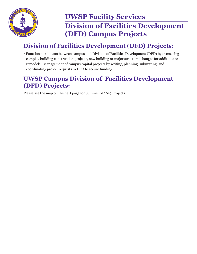

## **UWSP Facility Services Division of Facilities Development (DFD) Campus Projects**

## **Division of Facilities Development (DFD) Projects:**

• Function as a liaison between campus and Division of Facilities Development (DFD) by overseeing complex building construction projects, new building or major structural changes for additions or remodels. Management of campus capital projects by writing, planning, submitting, and coordinating project requests to DFD to secure funding.

## **UWSP Campus Division of Facilities Development (DFD) Projects:**

Please see the map on the next page for Summer of 2019 Projects.